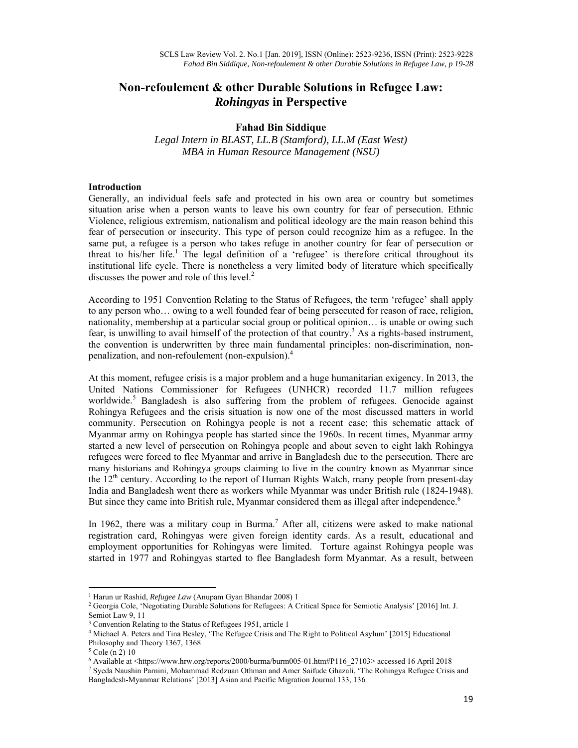# **Non-refoulement & other Durable Solutions in Refugee Law:**  *Rohingyas* **in Perspective**

## **Fahad Bin Siddique**

*Legal Intern in BLAST, LL.B (Stamford), LL.M (East West) MBA in Human Resource Management (NSU)* 

## **Introduction**

Generally, an individual feels safe and protected in his own area or country but sometimes situation arise when a person wants to leave his own country for fear of persecution. Ethnic Violence, religious extremism, nationalism and political ideology are the main reason behind this fear of persecution or insecurity. This type of person could recognize him as a refugee. In the same put, a refugee is a person who takes refuge in another country for fear of persecution or threat to his/her life.<sup>1</sup> The legal definition of a 'refugee' is therefore critical throughout its institutional life cycle. There is nonetheless a very limited body of literature which specifically discusses the power and role of this level. $<sup>2</sup>$ </sup>

According to 1951 Convention Relating to the Status of Refugees, the term 'refugee' shall apply to any person who… owing to a well founded fear of being persecuted for reason of race, religion, nationality, membership at a particular social group or political opinion… is unable or owing such fear, is unwilling to avail himself of the protection of that country.<sup>3</sup> As a rights-based instrument, the convention is underwritten by three main fundamental principles: non-discrimination, nonpenalization, and non-refoulement (non-expulsion).<sup>4</sup>

At this moment, refugee crisis is a major problem and a huge humanitarian exigency. In 2013, the United Nations Commissioner for Refugees (UNHCR) recorded 11.7 million refugees worldwide.<sup>5</sup> Bangladesh is also suffering from the problem of refugees. Genocide against Rohingya Refugees and the crisis situation is now one of the most discussed matters in world community. Persecution on Rohingya people is not a recent case; this schematic attack of Myanmar army on Rohingya people has started since the 1960s. In recent times, Myanmar army started a new level of persecution on Rohingya people and about seven to eight lakh Rohingya refugees were forced to flee Myanmar and arrive in Bangladesh due to the persecution. There are many historians and Rohingya groups claiming to live in the country known as Myanmar since the  $12<sup>th</sup>$  century. According to the report of Human Rights Watch, many people from present-day India and Bangladesh went there as workers while Myanmar was under British rule (1824-1948). But since they came into British rule, Myanmar considered them as illegal after independence.<sup>6</sup>

In 1962, there was a military coup in Burma.<sup>7</sup> After all, citizens were asked to make national registration card, Rohingyas were given foreign identity cards. As a result, educational and employment opportunities for Rohingyas were limited. Torture against Rohingya people was started in 1977 and Rohingyas started to flee Bangladesh form Myanmar. As a result, between

<sup>&</sup>lt;sup>1</sup> Harun ur Rashid, *Refugee Law* (Anupam Gyan Bhandar 2008) 1<br><sup>2</sup> Georgia Cole, 'Negotiating Durable Solutions for Refugees: A C

<sup>&</sup>lt;sup>2</sup> Georgia Cole, 'Negotiating Durable Solutions for Refugees: A Critical Space for Semiotic Analysis' [2016] Int. J. Semiot Law 9, 11

<sup>&</sup>lt;sup>3</sup> Convention Relating to the Status of Refugees 1951, article 1

<sup>4</sup> Michael A. Peters and Tina Besley, 'The Refugee Crisis and The Right to Political Asylum' [2015] Educational

Philosophy and Theory 1367, 1368

<sup>5</sup> Cole (n 2) 10

<sup>6</sup> Available at <https://www.hrw.org/reports/2000/burma/burm005-01.htm#P116\_27103> accessed 16 April 2018 7

<sup>&</sup>lt;sup>7</sup> Syeda Naushin Parnini, Mohammad Redzuan Othman and Amer Saifude Ghazali, 'The Rohingya Refugee Crisis and Bangladesh-Myanmar Relations' [2013] Asian and Pacific Migration Journal 133, 136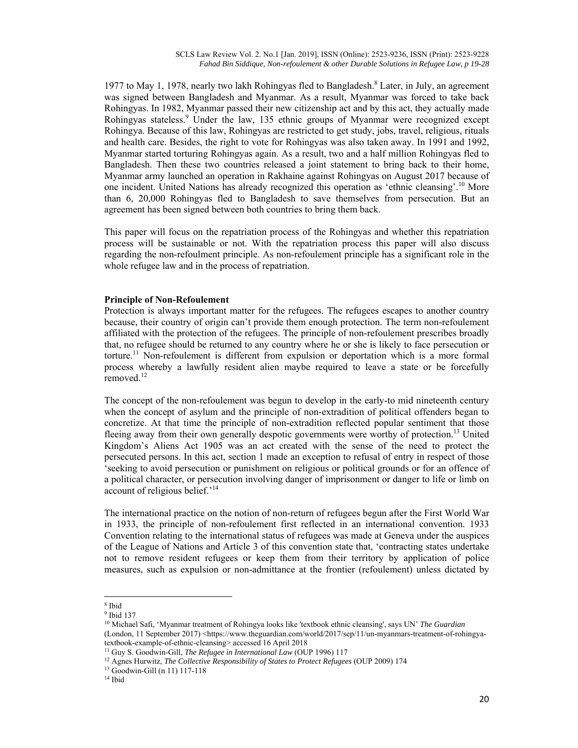1977 to May 1, 1978, nearly two lakh Rohingyas fled to Bangladesh.<sup>8</sup> Later, in July, an agreement was signed between Bangladesh and Myanmar. As a result, Myanmar was forced to take back Rohingyas. In 1982, Myanmar passed their new citizenship act and by this act, they actually made Rohingyas stateless.<sup>9</sup> Under the law, 135 ethnic groups of Myanmar were recognized except Rohingya. Because of this law, Rohingyas are restricted to get study, jobs, travel, religious, rituals and health care. Besides, the right to vote for Rohingyas was also taken away. In 1991 and 1992, Myanmar started torturing Rohingyas again. As a result, two and a half million Rohingyas fled to Bangladesh. Then these two countries released a joint statement to bring back to their home, Myanmar army launched an operation in Rakhaine against Rohingyas on August 2017 because of one incident. United Nations has already recognized this operation as 'ethnic cleansing'.10 More than 6, 20,000 Rohingyas fled to Bangladesh to save themselves from persecution. But an agreement has been signed between both countries to bring them back.

This paper will focus on the repatriation process of the Rohingyas and whether this repatriation process will be sustainable or not. With the repatriation process this paper will also discuss regarding the non-refoulment principle. As non-refoulement principle has a significant role in the whole refugee law and in the process of repatriation.

#### **Principle of Non-Refoulement**

Protection is always important matter for the refugees. The refugees escapes to another country because, their country of origin can't provide them enough protection. The term non-refoulement affiliated with the protection of the refugees. The principle of non-refoulement prescribes broadly that, no refugee should be returned to any country where he or she is likely to face persecution or torture.<sup>11</sup> Non-refoulement is different from expulsion or deportation which is a more formal process whereby a lawfully resident alien maybe required to leave a state or be forcefully removed.<sup>12</sup>

The concept of the non-refoulement was begun to develop in the early-to mid nineteenth century when the concept of asylum and the principle of non-extradition of political offenders began to concretize. At that time the principle of non-extradition reflected popular sentiment that those fleeing away from their own generally despotic governments were worthy of protection.<sup>13</sup> United Kingdom's Aliens Act 1905 was an act created with the sense of the need to protect the persecuted persons. In this act, section 1 made an exception to refusal of entry in respect of those 'seeking to avoid persecution or punishment on religious or political grounds or for an offence of a political character, or persecution involving danger of imprisonment or danger to life or limb on account of religious belief.'<sup>14</sup>

The international practice on the notion of non-return of refugees begun after the First World War in 1933, the principle of non-refoulement first reflected in an international convention. 1933 Convention relating to the international status of refugees was made at Geneva under the auspices of the League of Nations and Article 3 of this convention state that, 'contracting states undertake not to remove resident refugees or keep them from their territory by application of police measures, such as expulsion or non-admittance at the frontier (refoulement) unless dictated by

<sup>8</sup> Ibid

<sup>9</sup> Ibid 137

<sup>10</sup> Michael Safi, 'Myanmar treatment of Rohingya looks like 'textbook ethnic cleansing', says UN' *The Guardian* (London, 11 September 2017) <https://www.theguardian.com/world/2017/sep/11/un-myanmars-treatment-of-rohingyatextbook-example-of-ethnic-cleansing> accessed 16 April 2018<br><sup>11</sup> Guy S. Goodwin-Gill, *The Refugee in International Law* (OUP 1996) 117

<sup>&</sup>lt;sup>12</sup> Agnes Hurwitz, *The Collective Responsibility of States to Protect Refugees* (OUP 2009) 174 <sup>13</sup> Goodwin-Gill (n 11) 117-118

<sup>14</sup> Ibid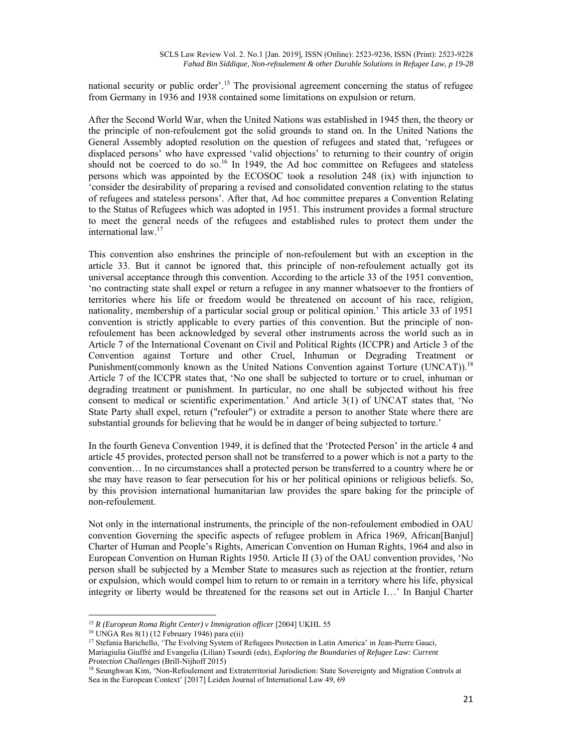national security or public order'.<sup>15</sup> The provisional agreement concerning the status of refugee from Germany in 1936 and 1938 contained some limitations on expulsion or return.

After the Second World War, when the United Nations was established in 1945 then, the theory or the principle of non-refoulement got the solid grounds to stand on. In the United Nations the General Assembly adopted resolution on the question of refugees and stated that, 'refugees or displaced persons' who have expressed 'valid objections' to returning to their country of origin should not be coerced to do so.<sup>16</sup> In 1949, the Ad hoc committee on Refugees and stateless persons which was appointed by the ECOSOC took a resolution 248 (ix) with injunction to 'consider the desirability of preparing a revised and consolidated convention relating to the status of refugees and stateless persons'. After that, Ad hoc committee prepares a Convention Relating to the Status of Refugees which was adopted in 1951. This instrument provides a formal structure to meet the general needs of the refugees and established rules to protect them under the international law.<sup>17</sup>

This convention also enshrines the principle of non-refoulement but with an exception in the article 33. But it cannot be ignored that, this principle of non-refoulement actually got its universal acceptance through this convention. According to the article 33 of the 1951 convention, 'no contracting state shall expel or return a refugee in any manner whatsoever to the frontiers of territories where his life or freedom would be threatened on account of his race, religion, nationality, membership of a particular social group or political opinion.' This article 33 of 1951 convention is strictly applicable to every parties of this convention. But the principle of nonrefoulement has been acknowledged by several other instruments across the world such as in Article 7 of the International Covenant on Civil and Political Rights (ICCPR) and Article 3 of the Convention against Torture and other Cruel, Inhuman or Degrading Treatment or Punishment(commonly known as the United Nations Convention against Torture (UNCAT).<sup>18</sup> Article 7 of the ICCPR states that, 'No one shall be subjected to torture or to cruel, inhuman or degrading treatment or punishment. In particular, no one shall be subjected without his free consent to medical or scientific experimentation.' And article 3(1) of UNCAT states that, 'No State Party shall expel, return ("refouler") or extradite a person to another State where there are substantial grounds for believing that he would be in danger of being subjected to torture.'

In the fourth Geneva Convention 1949, it is defined that the 'Protected Person' in the article 4 and article 45 provides, protected person shall not be transferred to a power which is not a party to the convention… In no circumstances shall a protected person be transferred to a country where he or she may have reason to fear persecution for his or her political opinions or religious beliefs. So, by this provision international humanitarian law provides the spare baking for the principle of non-refoulement.

Not only in the international instruments, the principle of the non-refoulement embodied in OAU convention Governing the specific aspects of refugee problem in Africa 1969, African[Banjul] Charter of Human and People's Rights, American Convention on Human Rights, 1964 and also in European Convention on Human Rights 1950. Article II (3) of the OAU convention provides, 'No person shall be subjected by a Member State to measures such as rejection at the frontier, return or expulsion, which would compel him to return to or remain in a territory where his life, physical integrity or liberty would be threatened for the reasons set out in Article I…' In Banjul Charter

 <sup>15</sup> *R (European Roma Right Center) v Immigration officer* [2004] UKHL 55 <sup>16</sup> UNGA Res 8(1) (12 February 1946) para c(ii)

<sup>&</sup>lt;sup>17</sup> Stefania Barichello, 'The Evolving System of Refugees Protection in Latin America' in Jean-Pierre Gauci, Mariagiulia Giuffré and Evangelia (Lilian) Tsourdi (eds), *Exploring the Boundaries of Refugee Law: Current* 

*Protection Challenges* (Brill-Nijhoff 2015)<br><sup>18</sup> Seunghwan Kim, 'Non-Refoulement and Extraterritorial Jurisdiction: State Sovereignty and Migration Controls at Sea in the European Context' [2017] Leiden Journal of International Law 49, 69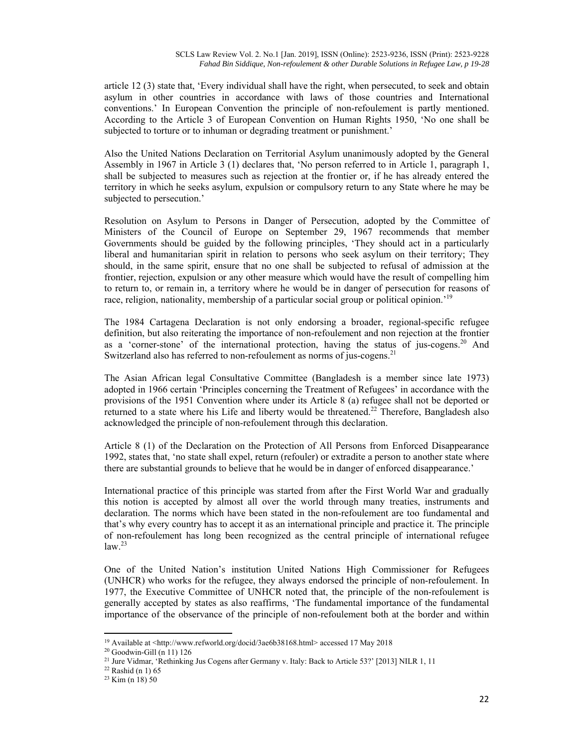article 12 (3) state that, 'Every individual shall have the right, when persecuted, to seek and obtain asylum in other countries in accordance with laws of those countries and International conventions.' In European Convention the principle of non-refoulement is partly mentioned. According to the Article 3 of European Convention on Human Rights 1950, 'No one shall be subjected to torture or to inhuman or degrading treatment or punishment.'

Also the United Nations Declaration on Territorial Asylum unanimously adopted by the General Assembly in 1967 in Article 3 (1) declares that, 'No person referred to in Article 1, paragraph 1, shall be subjected to measures such as rejection at the frontier or, if he has already entered the territory in which he seeks asylum, expulsion or compulsory return to any State where he may be subjected to persecution.'

Resolution on Asylum to Persons in Danger of Persecution, adopted by the Committee of Ministers of the Council of Europe on September 29, 1967 recommends that member Governments should be guided by the following principles, 'They should act in a particularly liberal and humanitarian spirit in relation to persons who seek asylum on their territory; They should, in the same spirit, ensure that no one shall be subjected to refusal of admission at the frontier, rejection, expulsion or any other measure which would have the result of compelling him to return to, or remain in, a territory where he would be in danger of persecution for reasons of race, religion, nationality, membership of a particular social group or political opinion.<sup>'19</sup>

The 1984 Cartagena Declaration is not only endorsing a broader, regional-specific refugee definition, but also reiterating the importance of non-refoulement and non rejection at the frontier as a 'corner-stone' of the international protection, having the status of jus-cogens.<sup>20</sup> And Switzerland also has referred to non-refoulement as norms of jus-cogens.<sup>21</sup>

The Asian African legal Consultative Committee (Bangladesh is a member since late 1973) adopted in 1966 certain 'Principles concerning the Treatment of Refugees' in accordance with the provisions of the 1951 Convention where under its Article 8 (a) refugee shall not be deported or returned to a state where his Life and liberty would be threatened.<sup>22</sup> Therefore, Bangladesh also acknowledged the principle of non-refoulement through this declaration.

Article 8 (1) of the Declaration on the Protection of All Persons from Enforced Disappearance 1992, states that, 'no state shall expel, return (refouler) or extradite a person to another state where there are substantial grounds to believe that he would be in danger of enforced disappearance.'

International practice of this principle was started from after the First World War and gradually this notion is accepted by almost all over the world through many treaties, instruments and declaration. The norms which have been stated in the non-refoulement are too fundamental and that's why every country has to accept it as an international principle and practice it. The principle of non-refoulement has long been recognized as the central principle of international refugee  $law.<sup>23</sup>$ 

One of the United Nation's institution United Nations High Commissioner for Refugees (UNHCR) who works for the refugee, they always endorsed the principle of non-refoulement. In 1977, the Executive Committee of UNHCR noted that, the principle of the non-refoulement is generally accepted by states as also reaffirms, 'The fundamental importance of the fundamental importance of the observance of the principle of non-refoulement both at the border and within

<sup>&</sup>lt;sup>19</sup> Available at <http://www.refworld.org/docid/3ae6b38168.html> accessed 17 May 2018  $^{20}$  Goodwin-Gill (n 11) 126

<sup>&</sup>lt;sup>21</sup> Jure Vidmar, 'Rethinking Jus Cogens after Germany v. Italy: Back to Article 53?' [2013] NILR 1, 11 <sup>22</sup> Rashid (n 1) 65

 $23$  Kim (n 18) 50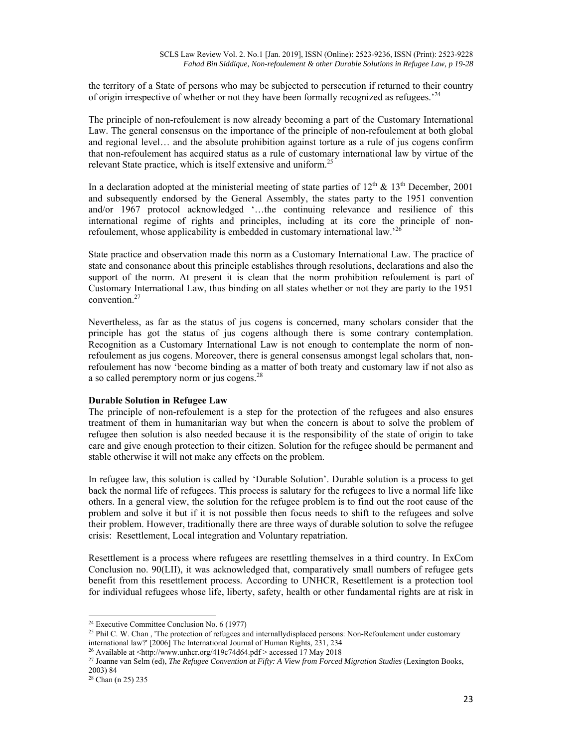the territory of a State of persons who may be subjected to persecution if returned to their country of origin irrespective of whether or not they have been formally recognized as refugees.<sup>'24</sup>

The principle of non-refoulement is now already becoming a part of the Customary International Law. The general consensus on the importance of the principle of non-refoulement at both global and regional level… and the absolute prohibition against torture as a rule of jus cogens confirm that non-refoulement has acquired status as a rule of customary international law by virtue of the relevant State practice, which is itself extensive and uniform.<sup>25</sup>

In a declaration adopted at the ministerial meeting of state parties of  $12<sup>th</sup>$  &  $13<sup>th</sup>$  December, 2001 and subsequently endorsed by the General Assembly, the states party to the 1951 convention and/or 1967 protocol acknowledged '…the continuing relevance and resilience of this international regime of rights and principles, including at its core the principle of nonrefoulement, whose applicability is embedded in customary international law.'<sup>26</sup>

State practice and observation made this norm as a Customary International Law. The practice of state and consonance about this principle establishes through resolutions, declarations and also the support of the norm. At present it is clean that the norm prohibition refoulement is part of Customary International Law, thus binding on all states whether or not they are party to the 1951 convention.<sup>27</sup>

Nevertheless, as far as the status of jus cogens is concerned, many scholars consider that the principle has got the status of jus cogens although there is some contrary contemplation. Recognition as a Customary International Law is not enough to contemplate the norm of nonrefoulement as jus cogens. Moreover, there is general consensus amongst legal scholars that, nonrefoulement has now 'become binding as a matter of both treaty and customary law if not also as a so called peremptory norm or jus cogens.<sup>28</sup>

## **Durable Solution in Refugee Law**

The principle of non-refoulement is a step for the protection of the refugees and also ensures treatment of them in humanitarian way but when the concern is about to solve the problem of refugee then solution is also needed because it is the responsibility of the state of origin to take care and give enough protection to their citizen. Solution for the refugee should be permanent and stable otherwise it will not make any effects on the problem.

In refugee law, this solution is called by 'Durable Solution'. Durable solution is a process to get back the normal life of refugees. This process is salutary for the refugees to live a normal life like others. In a general view, the solution for the refugee problem is to find out the root cause of the problem and solve it but if it is not possible then focus needs to shift to the refugees and solve their problem. However, traditionally there are three ways of durable solution to solve the refugee crisis: Resettlement, Local integration and Voluntary repatriation.

Resettlement is a process where refugees are resettling themselves in a third country. In ExCom Conclusion no. 90(LII), it was acknowledged that, comparatively small numbers of refugee gets benefit from this resettlement process. According to UNHCR, Resettlement is a protection tool for individual refugees whose life, liberty, safety, health or other fundamental rights are at risk in

 <sup>24</sup> Executive Committee Conclusion No.  $6(1977)$ 

 $25$  Phil C. W. Chan, 'The protection of refugees and internally displaced persons: Non-Refoulement under customary international law?' [2006] The International Journal of Human Rights, 231, 234<br><sup>26</sup> Available at <http://www.unhcr.org/419c74d64.pdf > accessed 17 May 2018<br><sup>27</sup> Joanne van Selm (ed), *The Refugee Convention at Fifty: A Vie* 

<sup>2003) 84</sup> 

<sup>28</sup> Chan (n 25) 235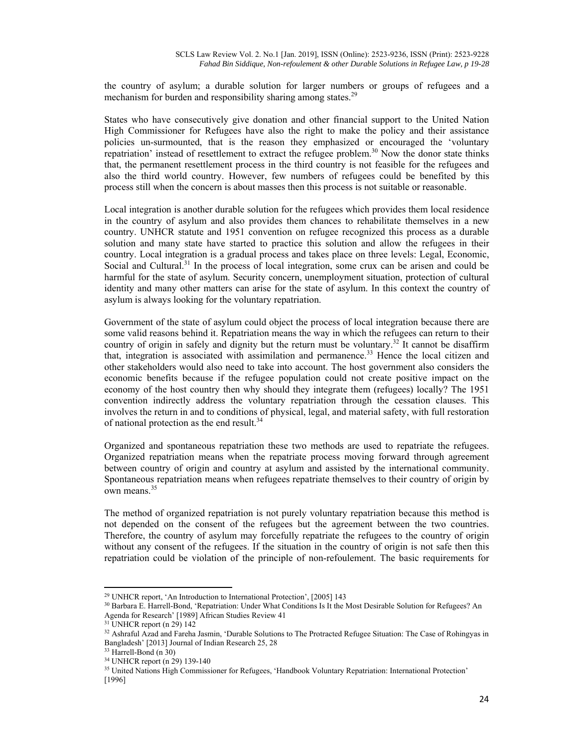the country of asylum; a durable solution for larger numbers or groups of refugees and a mechanism for burden and responsibility sharing among states.<sup>29</sup>

States who have consecutively give donation and other financial support to the United Nation High Commissioner for Refugees have also the right to make the policy and their assistance policies un-surmounted, that is the reason they emphasized or encouraged the 'voluntary repatriation' instead of resettlement to extract the refugee problem.<sup>30</sup> Now the donor state thinks that, the permanent resettlement process in the third country is not feasible for the refugees and also the third world country. However, few numbers of refugees could be benefited by this process still when the concern is about masses then this process is not suitable or reasonable.

Local integration is another durable solution for the refugees which provides them local residence in the country of asylum and also provides them chances to rehabilitate themselves in a new country. UNHCR statute and 1951 convention on refugee recognized this process as a durable solution and many state have started to practice this solution and allow the refugees in their country. Local integration is a gradual process and takes place on three levels: Legal, Economic, Social and Cultural. $31$  In the process of local integration, some crux can be arisen and could be harmful for the state of asylum. Security concern, unemployment situation, protection of cultural identity and many other matters can arise for the state of asylum. In this context the country of asylum is always looking for the voluntary repatriation.

Government of the state of asylum could object the process of local integration because there are some valid reasons behind it. Repatriation means the way in which the refugees can return to their country of origin in safely and dignity but the return must be voluntary.<sup>32</sup> It cannot be disaffirm that, integration is associated with assimilation and permanence.<sup>33</sup> Hence the local citizen and other stakeholders would also need to take into account. The host government also considers the economic benefits because if the refugee population could not create positive impact on the economy of the host country then why should they integrate them (refugees) locally? The 1951 convention indirectly address the voluntary repatriation through the cessation clauses. This involves the return in and to conditions of physical, legal, and material safety, with full restoration of national protection as the end result.<sup>34</sup>

Organized and spontaneous repatriation these two methods are used to repatriate the refugees. Organized repatriation means when the repatriate process moving forward through agreement between country of origin and country at asylum and assisted by the international community. Spontaneous repatriation means when refugees repatriate themselves to their country of origin by own means.<sup>35</sup>

The method of organized repatriation is not purely voluntary repatriation because this method is not depended on the consent of the refugees but the agreement between the two countries. Therefore, the country of asylum may forcefully repatriate the refugees to the country of origin without any consent of the refugees. If the situation in the country of origin is not safe then this repatriation could be violation of the principle of non-refoulement. The basic requirements for

<sup>&</sup>lt;sup>29</sup> UNHCR report, 'An Introduction to International Protection', [2005] 143<br><sup>30</sup> Barbara E. Harrell-Bond, 'Repatriation: Under What Conditions Is It the Most Desirable Solution for Refugees? An Agenda for Research' [1989] African Studies Review 41

 $31$  UNHCR report (n 29) 142

<sup>&</sup>lt;sup>32</sup> Ashraful Azad and Fareha Jasmin, 'Durable Solutions to The Protracted Refugee Situation: The Case of Rohingyas in Bangladesh' [2013] Journal of Indian Research 25, 28

<sup>33</sup> Harrell-Bond (n 30)

<sup>34</sup> UNHCR report (n 29) 139-140

<sup>&</sup>lt;sup>35</sup> United Nations High Commissioner for Refugees, 'Handbook Voluntary Repatriation: International Protection' [1996]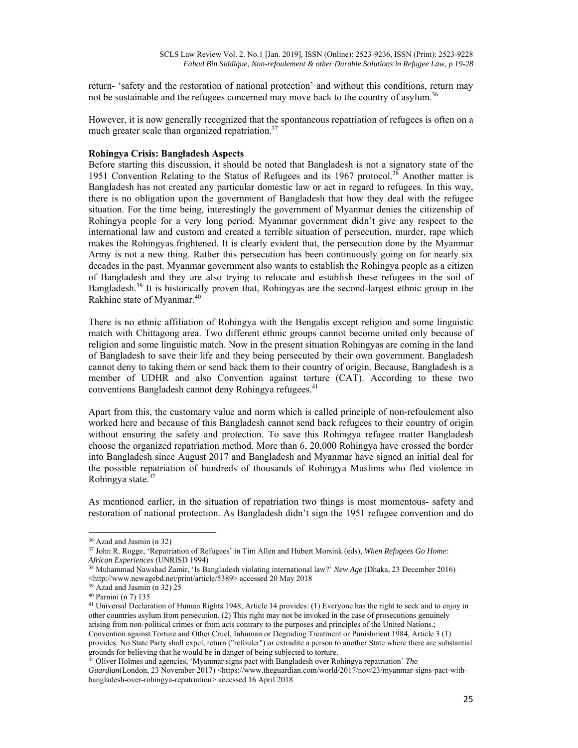return- 'safety and the restoration of national protection' and without this conditions, return may not be sustainable and the refugees concerned may move back to the country of asylum.<sup>36</sup>

However, it is now generally recognized that the spontaneous repatriation of refugees is often on a much greater scale than organized repatriation. $37$ 

## **Rohingya Crisis: Bangladesh Aspects**

Before starting this discussion, it should be noted that Bangladesh is not a signatory state of the 1951 Convention Relating to the Status of Refugees and its 1967 protocol.<sup>38</sup> Another matter is Bangladesh has not created any particular domestic law or act in regard to refugees. In this way, there is no obligation upon the government of Bangladesh that how they deal with the refugee situation. For the time being, interestingly the government of Myanmar denies the citizenship of Rohingya people for a very long period. Myanmar government didn't give any respect to the international law and custom and created a terrible situation of persecution, murder, rape which makes the Rohingyas frightened. It is clearly evident that, the persecution done by the Myanmar Army is not a new thing. Rather this persecution has been continuously going on for nearly six decades in the past. Myanmar government also wants to establish the Rohingya people as a citizen of Bangladesh and they are also trying to relocate and establish these refugees in the soil of Bangladesh.<sup>39</sup> It is historically proven that, Rohingyas are the second-largest ethnic group in the Rakhine state of Myanmar.<sup>40</sup>

There is no ethnic affiliation of Rohingya with the Bengalis except religion and some linguistic match with Chittagong area. Two different ethnic groups cannot become united only because of religion and some linguistic match. Now in the present situation Rohingyas are coming in the land of Bangladesh to save their life and they being persecuted by their own government. Bangladesh cannot deny to taking them or send back them to their country of origin. Because, Bangladesh is a member of UDHR and also Convention against torture (CAT). According to these two conventions Bangladesh cannot deny Rohingya refugees.<sup>41</sup>

Apart from this, the customary value and norm which is called principle of non-refoulement also worked here and because of this Bangladesh cannot send back refugees to their country of origin without ensuring the safety and protection. To save this Rohingya refugee matter Bangladesh choose the organized repatriation method. More than 6, 20,000 Rohingya have crossed the border into Bangladesh since August 2017 and Bangladesh and Myanmar have signed an initial deal for the possible repatriation of hundreds of thousands of Rohingya Muslims who fled violence in Rohingya state. $42$ 

As mentioned earlier, in the situation of repatriation two things is most momentous- safety and restoration of national protection. As Bangladesh didn't sign the 1951 refugee convention and do

<sup>36</sup> Azad and Jasmin (n 32)

<sup>37</sup> John R. Rogge, 'Repatriation of Refugees' in Tim Allen and Hubert Morsink (eds), *When Refugees Go Home:* 

*African Experiences* (UNRISD 1994)<br><sup>38</sup> Muhammad Nawshad Zamir, 'Is Bangladesh violating international law?' *New Age* (Dhaka, 23 December 2016)  $\leq$ http://www.newagebd.net/print/article/5389> accessed 20 May 2018 <sup>39</sup> Azad and Jasmin (n 32) 25

<sup>40</sup> Parnini (n 7) 135

<sup>41</sup> Universal Declaration of Human Rights 1948, Article 14 provides: (1) Everyone has the right to seek and to enjoy in other countries asylum from persecution. (2) This right may not be invoked in the case of prosecutions genuinely arising from non-political crimes or from acts contrary to the purposes and principles of the United Nations.; Convention against Torture and Other Cruel, Inhuman or Degrading Treatment or Punishment 1984, Article 3 (1) provides: No State Party shall expel, return ("refouler") or extradite a person to another State where there are substantial

 $\frac{42}{12}$  Oliver Holmes and agencies, 'Myanmar signs pact with Bangladesh over Rohingya repatriation' *The* Guardian(London, 23 November 2017) <https://www.theguardian.com/world/2017/nov/23/myanmar-signs-pact-withbangladesh-over-rohingya-repatriation> accessed 16 April 2018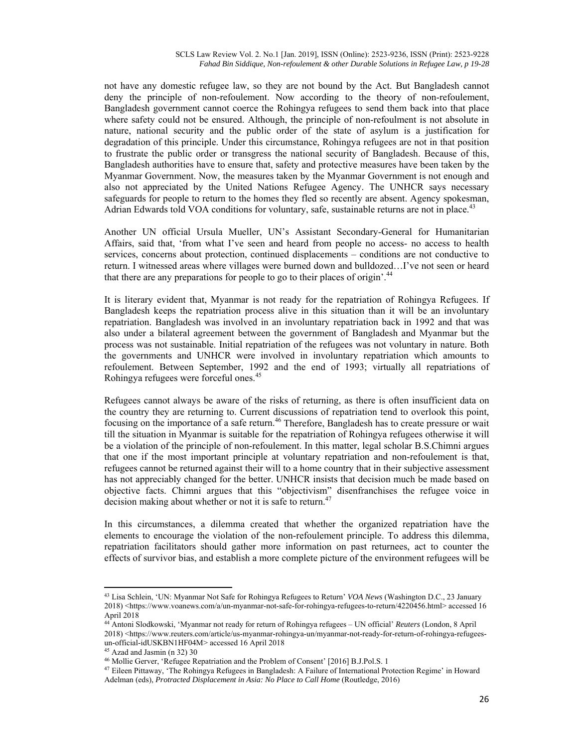not have any domestic refugee law, so they are not bound by the Act. But Bangladesh cannot deny the principle of non-refoulement. Now according to the theory of non-refoulement, Bangladesh government cannot coerce the Rohingya refugees to send them back into that place where safety could not be ensured. Although, the principle of non-refoulment is not absolute in nature, national security and the public order of the state of asylum is a justification for degradation of this principle. Under this circumstance, Rohingya refugees are not in that position to frustrate the public order or transgress the national security of Bangladesh. Because of this, Bangladesh authorities have to ensure that, safety and protective measures have been taken by the Myanmar Government. Now, the measures taken by the Myanmar Government is not enough and also not appreciated by the United Nations Refugee Agency. The UNHCR says necessary safeguards for people to return to the homes they fled so recently are absent. Agency spokesman, Adrian Edwards told VOA conditions for voluntary, safe, sustainable returns are not in place.<sup>43</sup>

Another UN official Ursula Mueller, UN's Assistant Secondary-General for Humanitarian Affairs, said that, 'from what I've seen and heard from people no access- no access to health services, concerns about protection, continued displacements – conditions are not conductive to return. I witnessed areas where villages were burned down and bulldozed…I've not seen or heard that there are any preparations for people to go to their places of origin'.<sup>44</sup>

It is literary evident that, Myanmar is not ready for the repatriation of Rohingya Refugees. If Bangladesh keeps the repatriation process alive in this situation than it will be an involuntary repatriation. Bangladesh was involved in an involuntary repatriation back in 1992 and that was also under a bilateral agreement between the government of Bangladesh and Myanmar but the process was not sustainable. Initial repatriation of the refugees was not voluntary in nature. Both the governments and UNHCR were involved in involuntary repatriation which amounts to refoulement. Between September, 1992 and the end of 1993; virtually all repatriations of Rohingya refugees were forceful ones.<sup>45</sup>

Refugees cannot always be aware of the risks of returning, as there is often insufficient data on the country they are returning to. Current discussions of repatriation tend to overlook this point, focusing on the importance of a safe return.<sup>46</sup> Therefore, Bangladesh has to create pressure or wait till the situation in Myanmar is suitable for the repatriation of Rohingya refugees otherwise it will be a violation of the principle of non-refoulement. In this matter, legal scholar B.S.Chimni argues that one if the most important principle at voluntary repatriation and non-refoulement is that, refugees cannot be returned against their will to a home country that in their subjective assessment has not appreciably changed for the better. UNHCR insists that decision much be made based on objective facts. Chimni argues that this "objectivism" disenfranchises the refugee voice in decision making about whether or not it is safe to return.<sup>47</sup>

In this circumstances, a dilemma created that whether the organized repatriation have the elements to encourage the violation of the non-refoulement principle. To address this dilemma, repatriation facilitators should gather more information on past returnees, act to counter the effects of survivor bias, and establish a more complete picture of the environment refugees will be

<sup>43</sup> Lisa Schlein, 'UN: Myanmar Not Safe for Rohingya Refugees to Return' *VOA News* (Washington D.C., 23 January 2018) <https://www.voanews.com/a/un-myanmar-not-safe-for-rohingya-refugees-to-return/4220456.html> accessed 16 April 2018

<sup>44</sup> Antoni Slodkowski, 'Myanmar not ready for return of Rohingya refugees – UN official' *Reuters* (London, 8 April 2018) <https://www.reuters.com/article/us-myanmar-rohingya-un/myanmar-not-ready-for-return-of-rohingya-refugeesun-official-idUSKBN1HF04M> accessed 16 April 2018

<sup>&</sup>lt;sup>45</sup> Azad and Jasmin (n 32) 30<br><sup>46</sup> Mollie Gerver, 'Refugee Repatriation and the Problem of Consent' [2016] B.J.Pol.S. 1

<sup>&</sup>lt;sup>47</sup> Eileen Pittaway, 'The Rohingya Refugees in Bangladesh: A Failure of International Protection Regime' in Howard Adelman (eds), *Protracted Displacement in Asia: No Place to Call Home* (Routledge, 2016)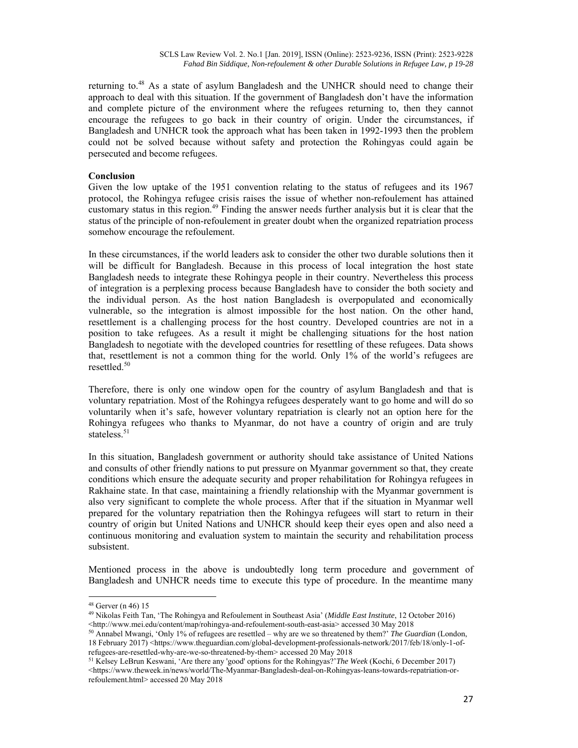returning to.<sup>48</sup> As a state of asylum Bangladesh and the UNHCR should need to change their approach to deal with this situation. If the government of Bangladesh don't have the information and complete picture of the environment where the refugees returning to, then they cannot encourage the refugees to go back in their country of origin. Under the circumstances, if Bangladesh and UNHCR took the approach what has been taken in 1992-1993 then the problem could not be solved because without safety and protection the Rohingyas could again be persecuted and become refugees.

## **Conclusion**

Given the low uptake of the 1951 convention relating to the status of refugees and its 1967 protocol, the Rohingya refugee crisis raises the issue of whether non-refoulement has attained customary status in this region.<sup>49</sup> Finding the answer needs further analysis but it is clear that the status of the principle of non-refoulement in greater doubt when the organized repatriation process somehow encourage the refoulement.

In these circumstances, if the world leaders ask to consider the other two durable solutions then it will be difficult for Bangladesh. Because in this process of local integration the host state Bangladesh needs to integrate these Rohingya people in their country. Nevertheless this process of integration is a perplexing process because Bangladesh have to consider the both society and the individual person. As the host nation Bangladesh is overpopulated and economically vulnerable, so the integration is almost impossible for the host nation. On the other hand, resettlement is a challenging process for the host country. Developed countries are not in a position to take refugees. As a result it might be challenging situations for the host nation Bangladesh to negotiate with the developed countries for resettling of these refugees. Data shows that, resettlement is not a common thing for the world. Only 1% of the world's refugees are resettled.<sup>50</sup>

Therefore, there is only one window open for the country of asylum Bangladesh and that is voluntary repatriation. Most of the Rohingya refugees desperately want to go home and will do so voluntarily when it's safe, however voluntary repatriation is clearly not an option here for the Rohingya refugees who thanks to Myanmar, do not have a country of origin and are truly stateless. $51$ 

In this situation, Bangladesh government or authority should take assistance of United Nations and consults of other friendly nations to put pressure on Myanmar government so that, they create conditions which ensure the adequate security and proper rehabilitation for Rohingya refugees in Rakhaine state. In that case, maintaining a friendly relationship with the Myanmar government is also very significant to complete the whole process. After that if the situation in Myanmar well prepared for the voluntary repatriation then the Rohingya refugees will start to return in their country of origin but United Nations and UNHCR should keep their eyes open and also need a continuous monitoring and evaluation system to maintain the security and rehabilitation process subsistent.

Mentioned process in the above is undoubtedly long term procedure and government of Bangladesh and UNHCR needs time to execute this type of procedure. In the meantime many

<sup>48</sup> Gerver (n 46) 15

<sup>49</sup> Nikolas Feith Tan, 'The Rohingya and Refoulement in Southeast Asia' (*Middle East Institute*, 12 October 2016)

<sup>&</sup>lt;sup>50</sup> Annabel Mwangi, 'Only 1% of refugees are resettled – why are we so threatened by them?' *The Guardian* (London, 18 February 2017) <https://www.theguardian.com/global-development-professionals-network/2017/feb/18/only-1-of-<br>refugees-are-resettled-why-are-we-so-threatened-by-them> accessed 20 May 2018

<sup>&</sup>lt;sup>51</sup> Kelsey LeBrun Keswani, 'Are there any 'good' options for the Rohingyas?'*The Week* (Kochi, 6 December 2017) <https://www.theweek.in/news/world/The-Myanmar-Bangladesh-deal-on-Rohingyas-leans-towards-repatriation-orrefoulement.html> accessed 20 May 2018